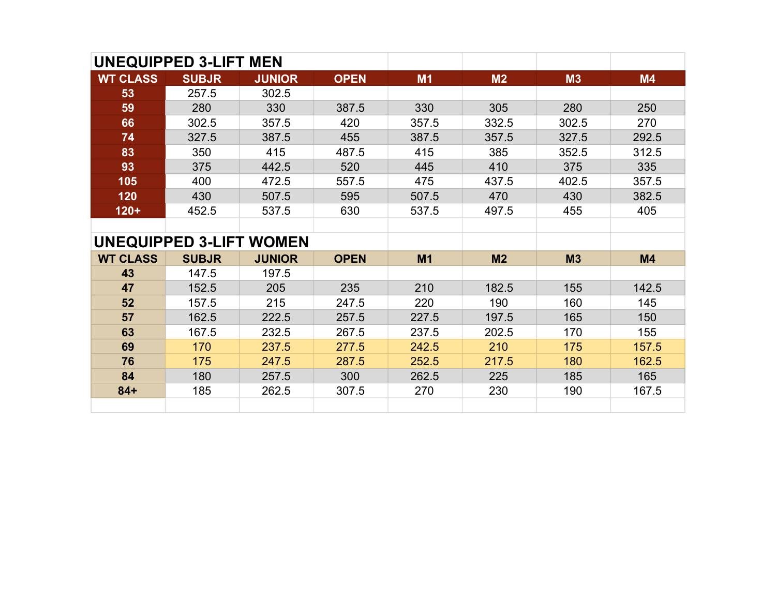|                                | <b>UNEQUIPPED 3-LIFT MEN</b> |               |             |                |       |       |           |
|--------------------------------|------------------------------|---------------|-------------|----------------|-------|-------|-----------|
| <b>WT CLASS</b>                | <b>SUBJR</b>                 | <b>JUNIOR</b> | <b>OPEN</b> | M1             | M2    | M3    | <b>M4</b> |
| 53                             | 257.5                        | 302.5         |             |                |       |       |           |
| 59                             | 280                          | 330           | 387.5       | 330            | 305   | 280   | 250       |
| 66                             | 302.5                        | 357.5         | 420         | 357.5          | 332.5 | 302.5 | 270       |
| 74                             | 327.5                        | 387.5         | 455         | 387.5          | 357.5 | 327.5 | 292.5     |
| 83                             | 350                          | 415           | 487.5       | 415            | 385   | 352.5 | 312.5     |
| 93                             | 375                          | 442.5         | 520         | 445            | 410   | 375   | 335       |
| 105                            | 400                          | 472.5         | 557.5       | 475            | 437.5 | 402.5 | 357.5     |
| 120                            | 430                          | 507.5         | 595         | 507.5          | 470   | 430   | 382.5     |
| $120+$                         | 452.5                        | 537.5         | 630         | 537.5          | 497.5 | 455   | 405       |
|                                |                              |               |             |                |       |       |           |
| <b>UNEQUIPPED 3-LIFT WOMEN</b> |                              |               |             |                |       |       |           |
| <b>WT CLASS</b>                | <b>SUBJR</b>                 | <b>JUNIOR</b> | <b>OPEN</b> | M <sub>1</sub> | M2    | M3    | M4        |
| 43                             | 147.5                        | 197.5         |             |                |       |       |           |
| 47                             | 152.5                        | 205           | 235         | 210            | 182.5 | 155   | 142.5     |
| 52                             | 157.5                        | 215           | 247.5       | 220            | 190   | 160   | 145       |
| 57                             | 162.5                        | 222.5         | 257.5       | 227.5          | 197.5 | 165   | 150       |
| 63                             | 167.5                        | 232.5         | 267.5       | 237.5          | 202.5 | 170   | 155       |
| 69                             | 170                          | 237.5         | 277.5       | 242.5          | 210   | 175   | 157.5     |
| 76                             | 175                          | 247.5         | 287.5       | 252.5          | 217.5 | 180   | 162.5     |
| 84                             | 180                          | 257.5         | 300         | 262.5          | 225   | 185   | 165       |
| $84+$                          | 185                          | 262.5         | 307.5       | 270            | 230   | 190   | 167.5     |
|                                |                              |               |             |                |       |       |           |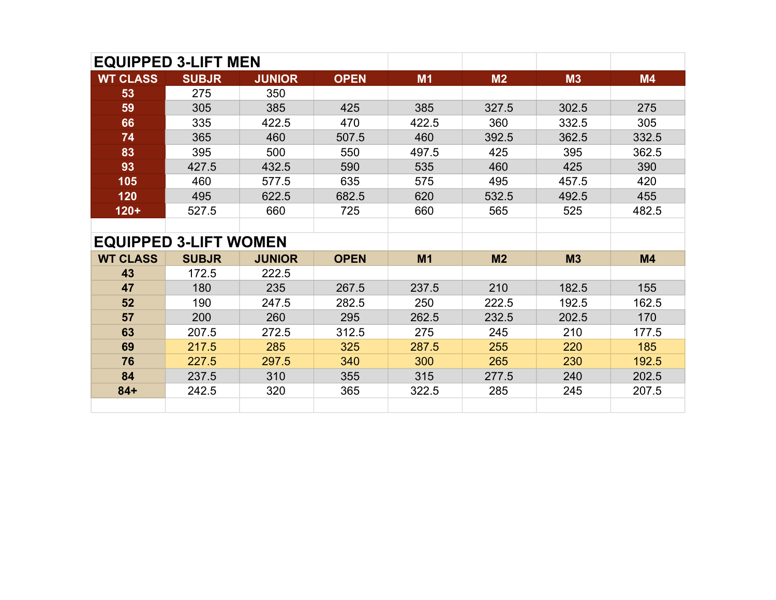|                              | <b>EQUIPPED 3-LIFT MEN</b> |               |             |                |                |       |           |
|------------------------------|----------------------------|---------------|-------------|----------------|----------------|-------|-----------|
| <b>WT CLASS</b>              | <b>SUBJR</b>               | <b>JUNIOR</b> | <b>OPEN</b> | <b>M1</b>      | M <sub>2</sub> | M3    | <b>M4</b> |
| 53                           | 275                        | 350           |             |                |                |       |           |
| 59                           | 305                        | 385           | 425         | 385            | 327.5          | 302.5 | 275       |
| 66                           | 335                        | 422.5         | 470         | 422.5          | 360            | 332.5 | 305       |
| 74                           | 365                        | 460           | 507.5       | 460            | 392.5          | 362.5 | 332.5     |
| 83                           | 395                        | 500           | 550         | 497.5          | 425            | 395   | 362.5     |
| 93                           | 427.5                      | 432.5         | 590         | 535            | 460            | 425   | 390       |
| 105                          | 460                        | 577.5         | 635         | 575            | 495            | 457.5 | 420       |
| 120                          | 495                        | 622.5         | 682.5       | 620            | 532.5          | 492.5 | 455       |
| $120 +$                      | 527.5                      | 660           | 725         | 660            | 565            | 525   | 482.5     |
|                              |                            |               |             |                |                |       |           |
| <b>EQUIPPED 3-LIFT WOMEN</b> |                            |               |             |                |                |       |           |
| <b>WT CLASS</b>              | <b>SUBJR</b>               | <b>JUNIOR</b> | <b>OPEN</b> | M <sub>1</sub> | M2             | M3    | M4        |
| 43                           | 172.5                      | 222.5         |             |                |                |       |           |
| 47                           | 180                        | 235           | 267.5       | 237.5          | 210            | 182.5 | 155       |
| 52                           | 190                        | 247.5         | 282.5       | 250            | 222.5          | 192.5 | 162.5     |
| 57                           | 200                        | 260           | 295         | 262.5          | 232.5          | 202.5 | 170       |
| 63                           | 207.5                      | 272.5         | 312.5       | 275            | 245            | 210   | 177.5     |
| 69                           | 217.5                      | 285           | 325         | 287.5          | 255            | 220   | 185       |
| 76                           | 227.5                      | 297.5         | 340         | 300            | 265            | 230   | 192.5     |
| 84                           | 237.5                      | 310           | 355         | 315            | 277.5          | 240   | 202.5     |
| $84 +$                       | 242.5                      | 320           | 365         | 322.5          | 285            | 245   | 207.5     |
|                              |                            |               |             |                |                |       |           |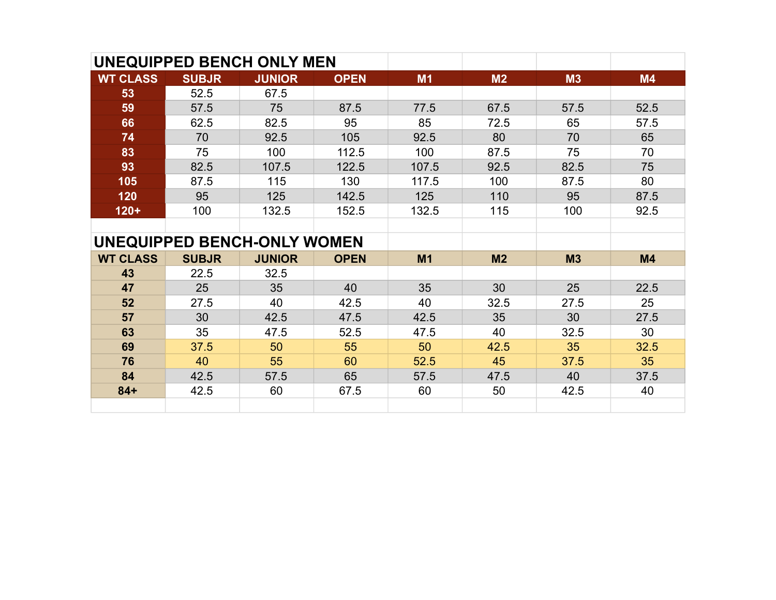| <b>UNEQUIPPED BENCH ONLY MEN</b> |                                    |               |             |                |                |                |      |
|----------------------------------|------------------------------------|---------------|-------------|----------------|----------------|----------------|------|
| <b>WT CLASS</b>                  | <b>SUBJR</b>                       | <b>JUNIOR</b> | <b>OPEN</b> | M1             | M <sub>2</sub> | M3             | M4   |
| 53                               | 52.5                               | 67.5          |             |                |                |                |      |
| 59                               | 57.5                               | 75            | 87.5        | 77.5           | 67.5           | 57.5           | 52.5 |
| 66                               | 62.5                               | 82.5          | 95          | 85             | 72.5           | 65             | 57.5 |
| 74                               | 70                                 | 92.5          | 105         | 92.5           | 80             | 70             | 65   |
| 83                               | 75                                 | 100           | 112.5       | 100            | 87.5           | 75             | 70   |
| 93                               | 82.5                               | 107.5         | 122.5       | 107.5          | 92.5           | 82.5           | 75   |
| 105                              | 87.5                               | 115           | 130         | 117.5          | 100            | 87.5           | 80   |
| 120                              | 95                                 | 125           | 142.5       | 125            | 110            | 95             | 87.5 |
| $120+$                           | 100                                | 132.5         | 152.5       | 132.5          | 115            | 100            | 92.5 |
|                                  |                                    |               |             |                |                |                |      |
|                                  | <b>UNEQUIPPED BENCH-ONLY WOMEN</b> |               |             |                |                |                |      |
| <b>WT CLASS</b>                  | <b>SUBJR</b>                       | <b>JUNIOR</b> | <b>OPEN</b> | M <sub>1</sub> | M <sub>2</sub> | M <sub>3</sub> | M4   |
| 43                               | 22.5                               | 32.5          |             |                |                |                |      |
| 47                               | 25                                 | 35            | 40          | 35             | 30             | 25             | 22.5 |
| 52                               | 27.5                               | 40            | 42.5        | 40             | 32.5           | 27.5           | 25   |
| 57                               | 30                                 | 42.5          | 47.5        | 42.5           | 35             | 30             | 27.5 |
| 63                               | 35                                 | 47.5          | 52.5        | 47.5           | 40             | 32.5           | 30   |
| 69                               | 37.5                               | 50            | 55          | 50             | 42.5           | 35             | 32.5 |
| 76                               | 40                                 | 55            | 60          | 52.5           | 45             | 37.5           | 35   |
| 84                               | 42.5                               | 57.5          | 65          | 57.5           | 47.5           | 40             | 37.5 |
| $84+$                            | 42.5                               | 60            | 67.5        | 60             | 50             | 42.5           | 40   |
|                                  |                                    |               |             |                |                |                |      |